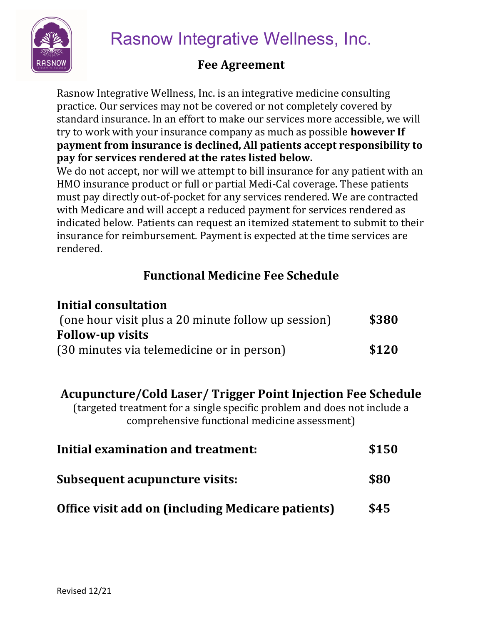

Rasnow Integrative Wellness, Inc.

## Fee Agreement

Rasnow Integrative Wellness, Inc. is an integrative medicine consulting practice. Our services may not be covered or not completely covered by standard insurance. In an effort to make our services more accessible, we will try to work with your insurance company as much as possible **however If** payment from insurance is declined, All patients accept responsibility to pay for services rendered at the rates listed below.

We do not accept, nor will we attempt to bill insurance for any patient with an HMO insurance product or full or partial Medi-Cal coverage. These patients must pay directly out-of-pocket for any services rendered. We are contracted with Medicare and will accept a reduced payment for services rendered as indicated below. Patients can request an itemized statement to submit to their insurance for reimbursement. Payment is expected at the time services are rendered.

## Functional Medicine Fee Schedule

| Initial consultation                                |       |
|-----------------------------------------------------|-------|
| (one hour visit plus a 20 minute follow up session) | \$380 |
| <b>Follow-up visits</b>                             |       |
| (30 minutes via telemedicine or in person)          | \$120 |

## Acupuncture/Cold Laser/ Trigger Point Injection Fee Schedule

(targeted treatment for a single specific problem and does not include a comprehensive functional medicine assessment)

| Initial examination and treatment:                       | \$150 |
|----------------------------------------------------------|-------|
| Subsequent acupuncture visits:                           | \$80  |
| <b>Office visit add on (including Medicare patients)</b> | \$45  |